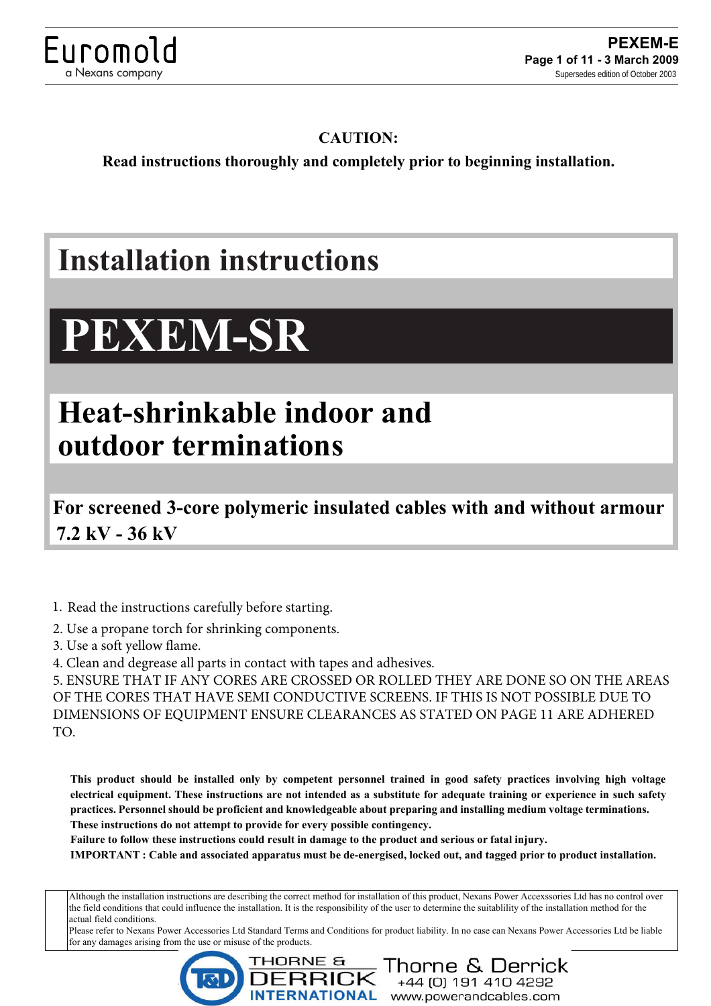

### **CAUTION:**

**Read instructions thoroughly and completely prior to beginning installation.**

# **Installation instructions**

# **PEXEM-SR**

## **Heat-shrinkable indoor and outdoor terminations**

**For screened 3-core polymeric insulated cables with and without armour 7.2 kV - 36 kV**

1. Read the instructions carefully before starting.

2. Use a propane torch for shrinking components.

3. Use a soft yellow flame.

4. Clean and degrease all parts in contact with tapes and adhesives.

5. ENSURE THAT IF ANY CORES ARE CROSSED OR ROLLED THEY ARE DONE SO ON THE AREAS OF THE CORES THAT HAVE SEMI CONDUCTIVE SCREENS. IF THIS IS NOT POSSIBLE DUE TO DIMENSIONS OF EQUIPMENT ENSURE CLEARANCES AS STATED ON PAGE 11 ARE ADHERED TO.

**This product should be installed only by competent personnel trained in good safety practices involving high voltage electrical equipment. These instructions are not intended as a substitute for adequate training or experience in such safety practices. Personnel should be proficient and knowledgeable about preparing and installing medium voltage terminations. These instructions do not attempt to provide for every possible contingency.**

**Failure to follow these instructions could result in damage to the product and serious or fatal injury.**

**IMPORTANT : Cable and associated apparatus must be de-energised, locked out, and tagged prior to product installation.** 

Although the installation instructions are describing the correct method for installation of this product, Nexans Power Accexssories Ltd has no control over the field conditions that could influence the installation. It is the responsibility of the user to determine the suitablility of the installation method for the actual field conditions.

Please refer to Nexans Power Accessories Ltd Standard Terms and Conditions for product liability. In no case can Nexans Power Accessories Ltd be liable for any damages arising from the use or misuse of the products.

+44 (0) 191 410 4292<br>www.powerandcables.com

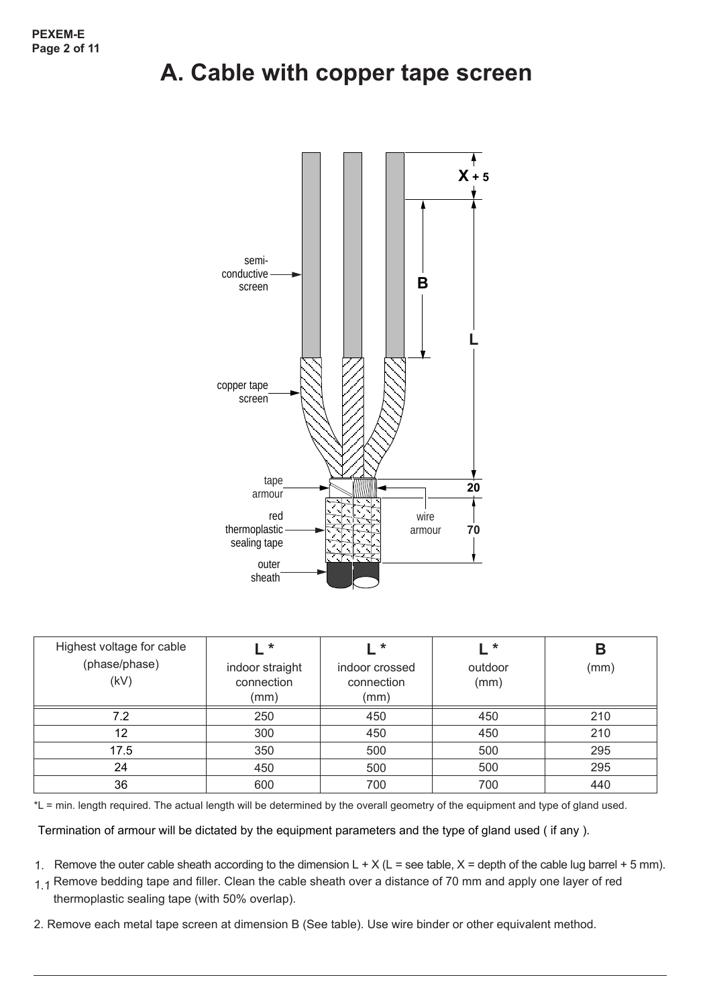### **A. Cable with copper tape screen**



| Highest voltage for cable<br>(phase/phase)<br>(kV) | <b>∴ *</b><br>indoor straight<br>connection<br>(mm) | l *<br>indoor crossed<br>connection<br>(mm) | $\star$<br>outdoor<br>(mm) | В<br>(mm) |
|----------------------------------------------------|-----------------------------------------------------|---------------------------------------------|----------------------------|-----------|
| 7.2                                                | 250                                                 | 450                                         | 450                        | 210       |
| 12                                                 | 300                                                 | 450                                         | 450                        | 210       |
| 17.5                                               | 350                                                 | 500                                         | 500                        | 295       |
| 24                                                 | 450                                                 | 500                                         | 500                        | 295       |
| 36                                                 | 600                                                 | 700                                         | 700                        | 440       |

\*L = min. length required. The actual length will be determined by the overall geometry of the equipment and type of gland used.

Termination of armour will be dictated by the equipment parameters and the type of gland used ( if any ).

- 1. Remove the outer cable sheath according to the dimension  $L + X (L = \text{see table}, X = \text{depth of the cable lug barrel} + 5 \text{ mm}).$
- <sub>1.1</sub> Remove bedding tape and filler. Clean the cable sheath over a distance of 70 mm and apply one layer of red thermoplastic sealing tape (with 50% overlap).
- 2. Remove each metal tape screen at dimension B (See table). Use wire binder or other equivalent method.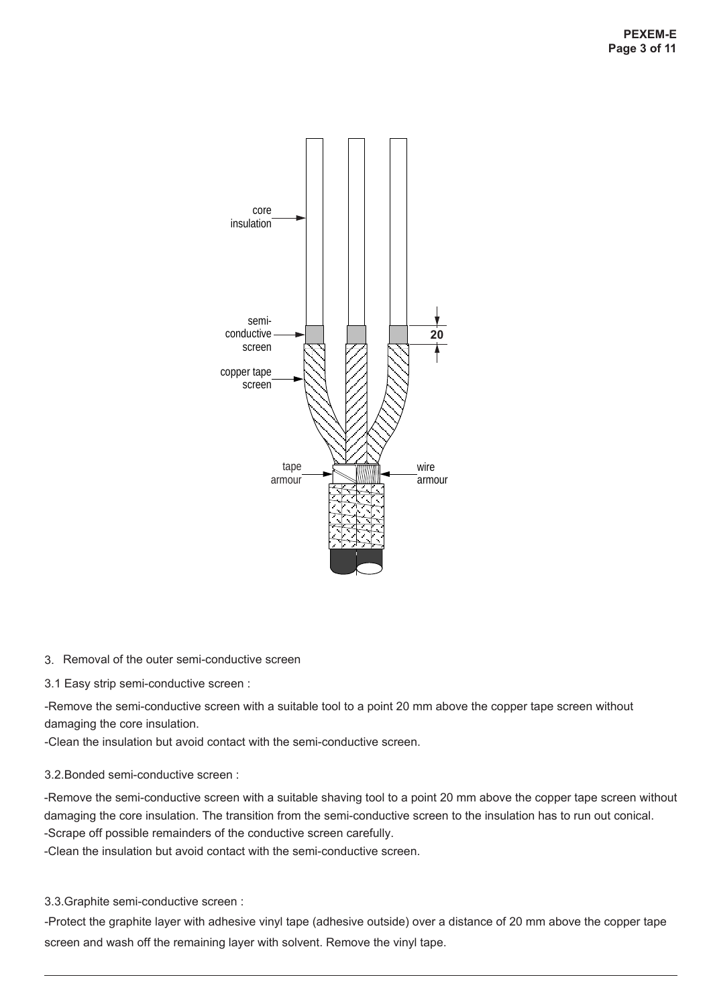

### 3. Removal of the outer semi-conductive screen

3.1 Easy strip semi-conductive screen :

-Remove the semi-conductive screen with a suitable tool to a point 20 mm above the copper tape screen without damaging the core insulation.

-Clean the insulation but avoid contact with the semi-conductive screen.

### 3.2.Bonded semi-conductive screen :

-Remove the semi-conductive screen with a suitable shaving tool to a point 20 mm above the copper tape screen without damaging the core insulation. The transition from the semi-conductive screen to the insulation has to run out conical. -Scrape off possible remainders of the conductive screen carefully.

-Clean the insulation but avoid contact with the semi-conductive screen.

3.3.Graphite semi-conductive screen :

-Protect the graphite layer with adhesive vinyl tape (adhesive outside) over a distance of 20 mm above the copper tape screen and wash off the remaining layer with solvent. Remove the vinyl tape.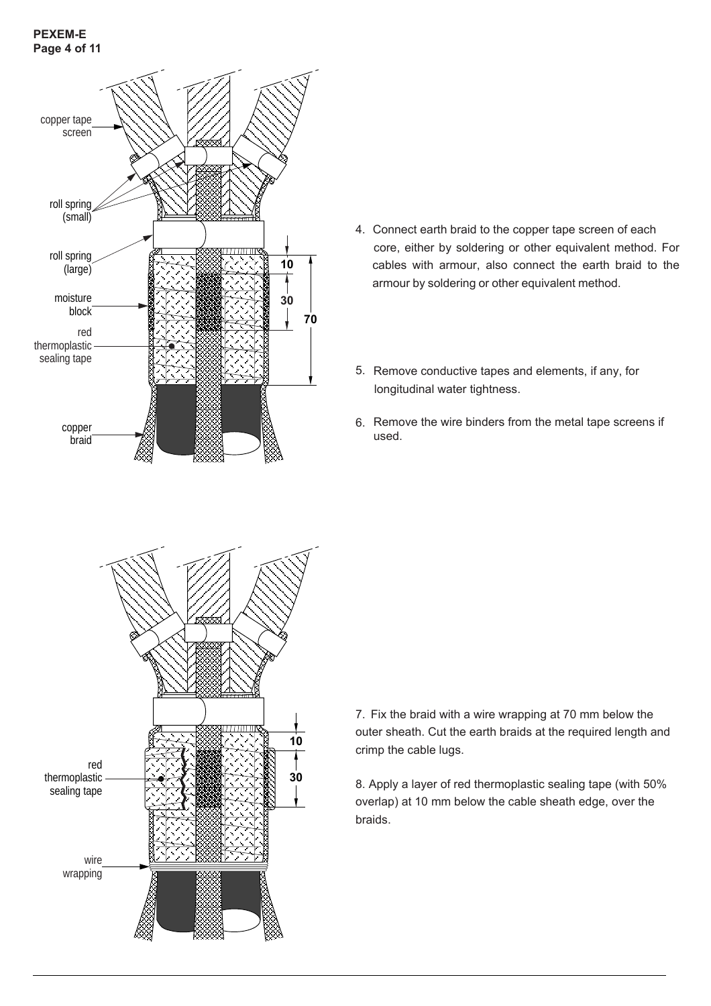### **PEXEM-E Page 4 of 11**



- 4. Connect earth braid to the copper tape screen of each core, either by soldering or other equivalent method. For cables with armour, also connect the earth braid to the armour by soldering or other equivalent method.
- 5. Remove conductive tapes and elements, if any, for longitudinal water tightness.
- 6. Remove the wire binders from the metal tape screens if used.



7. Fix the braid with a wire wrapping at 70 mm below the outer sheath. Cut the earth braids at the required length and crimp the cable lugs.

8. Apply a layer of red thermoplastic sealing tape (with 50% overlap) at 10 mm below the cable sheath edge, over the braids.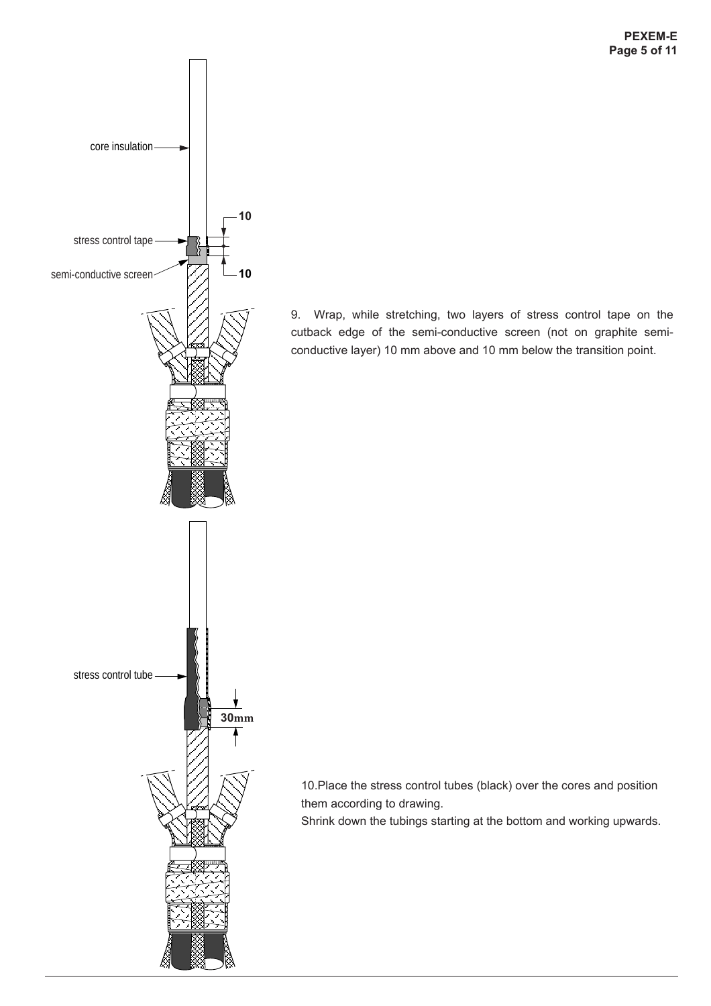

9. Wrap, while stretching, two layers of stress control tape on the cutback edge of the semi-conductive screen (not on graphite semiconductive layer) 10 mm above and 10 mm below the transition point.

10.Place the stress control tubes (black) over the cores and position them according to drawing.

Shrink down the tubings starting at the bottom and working upwards.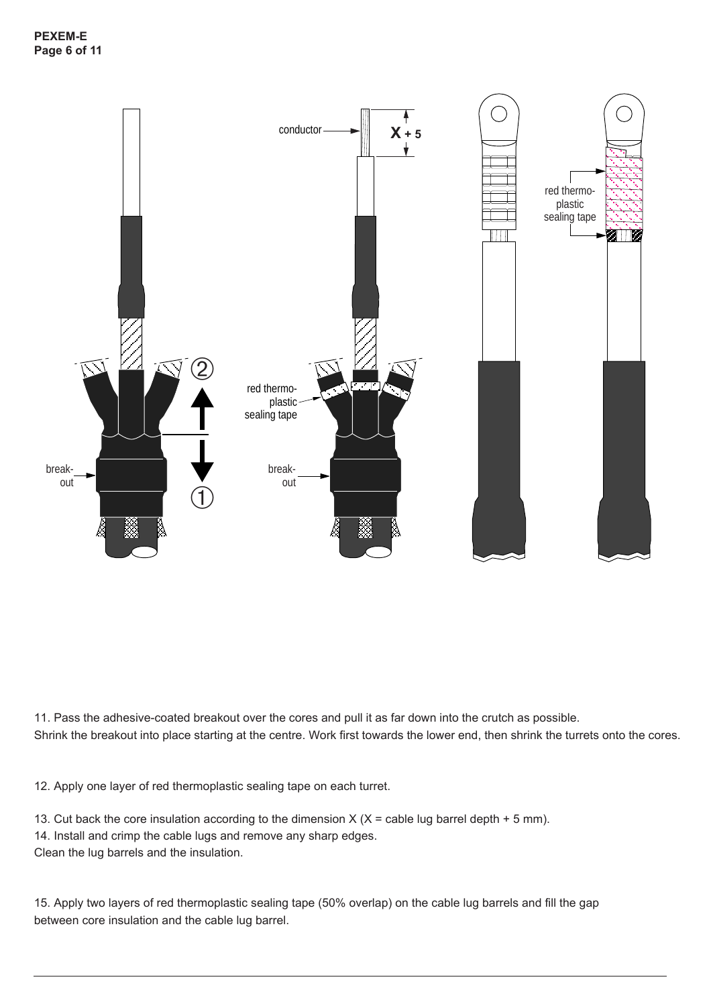

11. Pass the adhesive-coated breakout over the cores and pull it as far down into the crutch as possible. Shrink the breakout into place starting at the centre. Work first towards the lower end, then shrink the turrets onto the cores.

12. Apply one layer of red thermoplastic sealing tape on each turret.

13. Cut back the core insulation according to the dimension  $X$  ( $X =$  cable lug barrel depth + 5 mm). 14. Install and crimp the cable lugs and remove any sharp edges. Clean the lug barrels and the insulation.

15. Apply two layers of red thermoplastic sealing tape (50% overlap) on the cable lug barrels and fill the gap between core insulation and the cable lug barrel.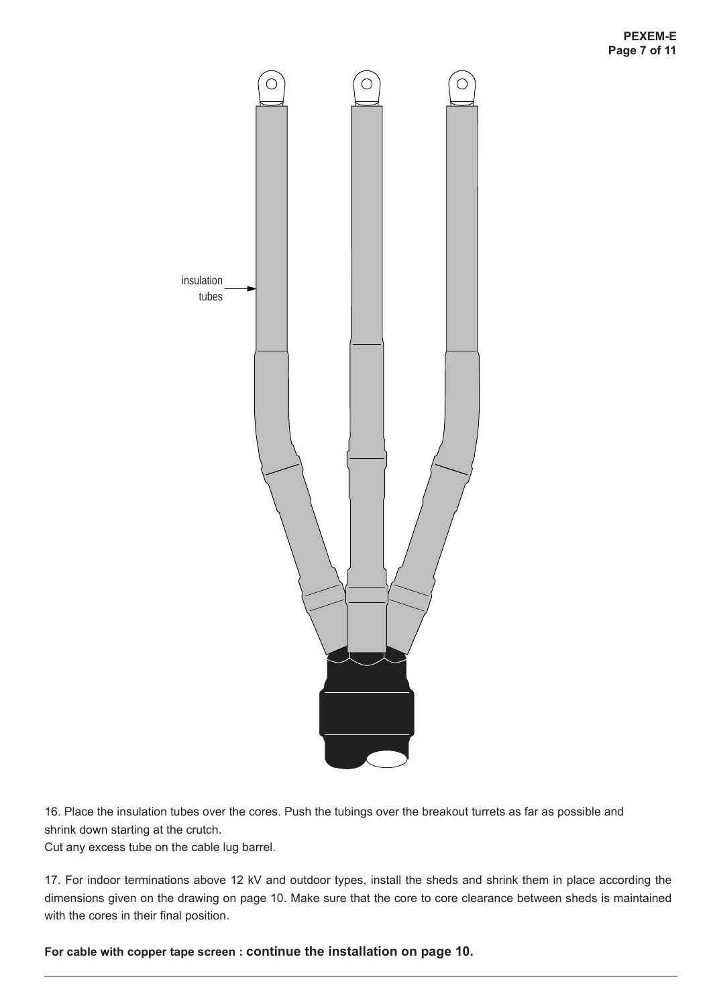

16. Place the insulation tubes over the cores. Push the tubings over the breakout turrets as far as possible and shrink down starting at the crutch.

Cut any excess tube on the cable lug barrel.

17. For indoor terminations above 12 kV and outdoor types, install the sheds and shrink them in place according the dimensions given on the drawing on page 10. Make sure that the core to core clearance between sheds is maintained with the cores in their final position.

**For cable with copper tape screen : continue the installation on page 10.**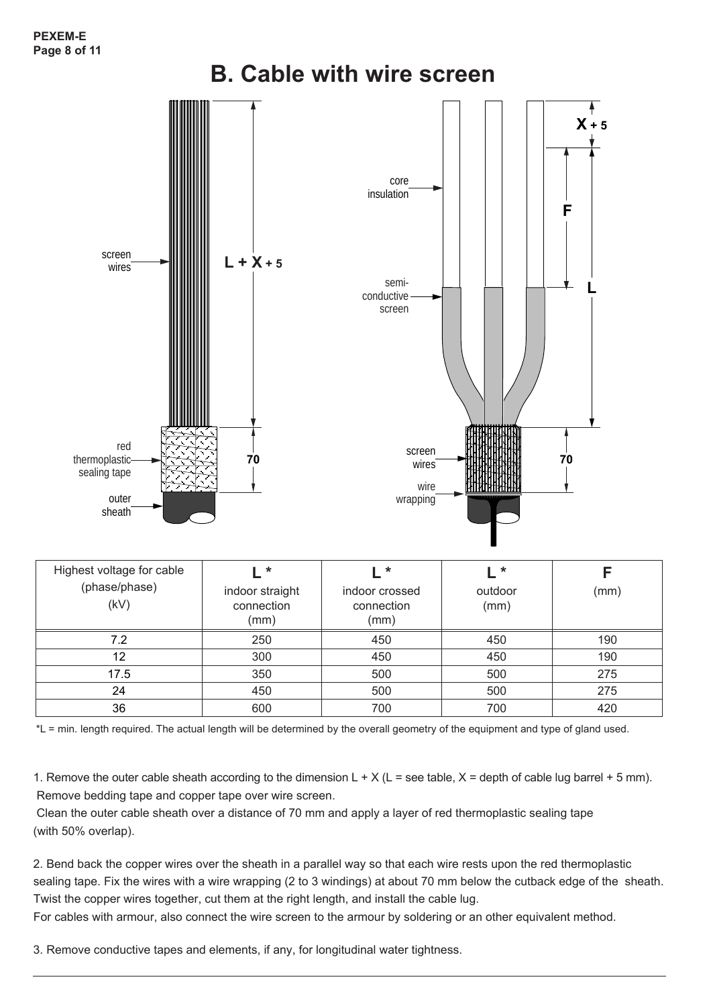

| Highest voltage for cable<br>(phase/phase)<br>(kV) | $\ast$<br>indoor straight<br>connection<br>(mm) | *<br>indoor crossed<br>connection<br>(mm) | $\ast$<br>outdoor<br>(mm) | (mm) |
|----------------------------------------------------|-------------------------------------------------|-------------------------------------------|---------------------------|------|
| 7.2                                                | 250                                             | 450                                       | 450                       | 190  |
| 12                                                 | 300                                             | 450                                       | 450                       | 190  |
| 17.5                                               | 350                                             | 500                                       | 500                       | 275  |
| 24                                                 | 450                                             | 500                                       | 500                       | 275  |
| 36                                                 | 600                                             | 700                                       | 700                       | 420  |

\*L = min. length required. The actual length will be determined by the overall geometry of the equipment and type of gland used.

1. Remove the outer cable sheath according to the dimension  $L + X (L = \text{see table}, X = \text{depth of cable lug barrel} + 5 \text{ mm}).$ Remove bedding tape and copper tape over wire screen.

 Clean the outer cable sheath over a distance of 70 mm and apply a layer of red thermoplastic sealing tape (with 50% overlap).

2. Bend back the copper wires over the sheath in a parallel way so that each wire rests upon the red thermoplastic sealing tape. Fix the wires with a wire wrapping (2 to 3 windings) at about 70 mm below the cutback edge of the sheath. Twist the copper wires together, cut them at the right length, and install the cable lug.

For cables with armour, also connect the wire screen to the armour by soldering or an other equivalent method.

3. Remove conductive tapes and elements, if any, for longitudinal water tightness.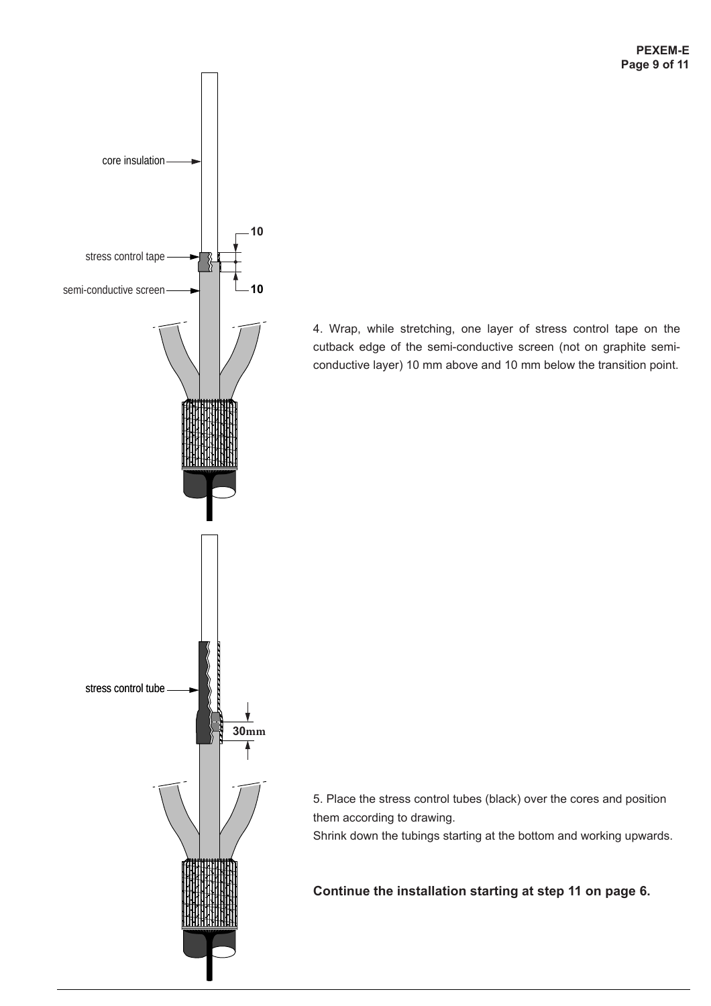

4. Wrap, while stretching, one layer of stress control tape on the cutback edge of the semi-conductive screen (not on graphite semiconductive layer) 10 mm above and 10 mm below the transition point.

5. Place the stress control tubes (black) over the cores and position them according to drawing.

Shrink down the tubings starting at the bottom and working upwards.

**Continue the installation starting at step 11 on page 6.**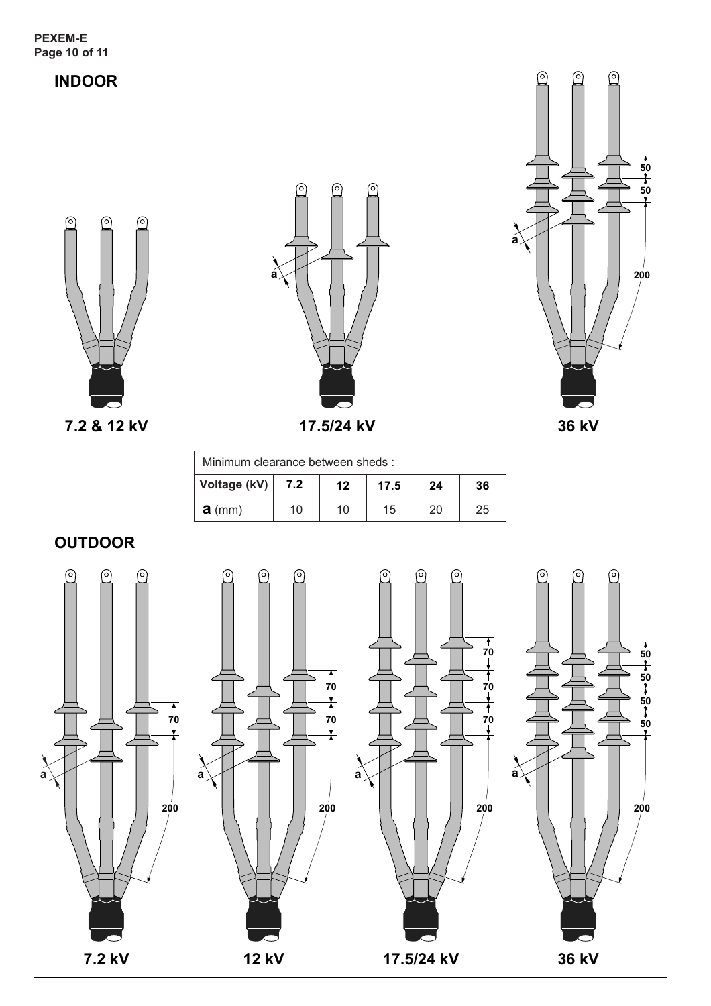### **INDOOR**







**36 kV**

**200**

| Minimum clearance between sheds: |     |    |      |    |    |
|----------------------------------|-----|----|------|----|----|
| Voltage (kV)                     | 7.2 | 12 | 17.5 | 24 | 36 |
| $a$ (mm)                         | 10  | 10 | 15   | 20 | 25 |

**OUTDOOR**